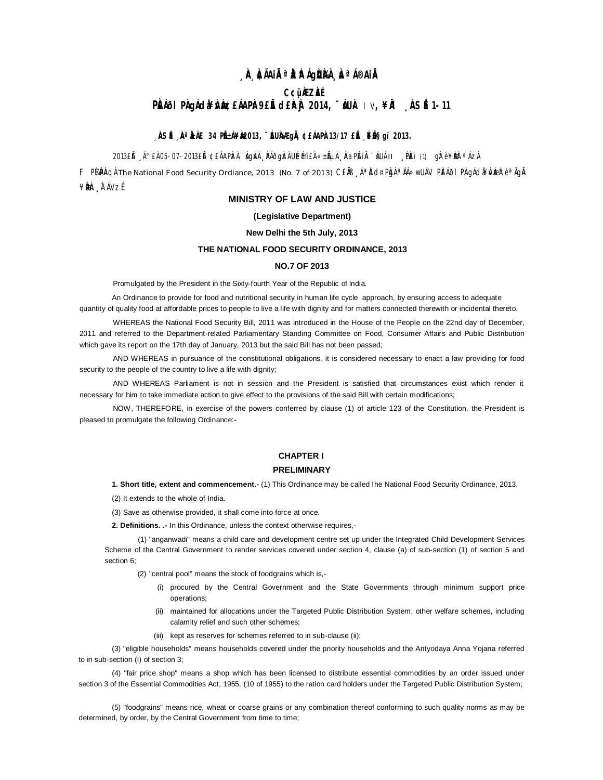# <sub>**, À À**ÃAil<sup>a a</sup>rÁg**ùÀ À**ªÁ®Ail</sub> **C¢ü¸ÀÆZÀ£É PÀI**@IPÀ gÁda¥ÀÀ **g**£ÁAPÀ 9£É d£ÀÀ 2014, ¨ ÁUÀ IV, ¥À ÀSÉ1-11

# **, ÀSÉ , ÀªÀÁE 34 PɱÁ¥À2013, ¨ÉUÀÆgÌÀ ¢£ÁAPÀ13/17 £Ě , ÉIɧgï 2013.**

2013£Ã ∫Á°£À 05-07-2013£Ã ¢£ÁAPÀzÀ ¨ágÀvÀ ¸ ÞÁðgÀzÀ UÉmï£À «±ÃµÀ ¸ ÀaPÉAiĂ ¨áUÀ-II ¸ PÈï (1) gÀ°è¥ÈNè ªÁzÀ

F P¼PÀQÀ The National Food Security Ordiance, 2013 (No. 7 of 2013) C£ÀB ¸ÁªĎd¤Pba ªÀÁ≫wUÁV PÈÁðI PÀ gÁd¥ÀvbazªèªÀgÀ ¥**Bi**en ÀFÁVzÉ

# **MINISTRY OF LAW AND JUSTICE**

# **(Legislative Department)**

# **New Delhi the 5th July, 2013**

# **THE NATIONAL FOOD SECURlTY ORDINANCE, 2013**

# **NO.7 OF 2013**

Promulgated by the President in the Sixty-fourth Year of the Republic of lndia.

An Ordinance to provide for food and nutritional security in human life cycle approach, by ensuring access to adequate quantity of quality food at affordable prices to people to live a life with dignity and for matters connected therewith or incidental thereto.

WHEREAS the National Food Security Bill, 2011 was introduced in the House of the People on the 22nd day of December, 2011 and referred to the Department-related Parliamentary Standing Committee on Food, Consumer Affairs and Public Distribution which gave its report on the 17th day of January, 2013 but the said Bill has not been passed;

AND WHEREAS in pursuance of the constitutional obligations, it is considered necessary to enact a law providing for food security to the people of the country to live a life with dignity;

AND WHEREAS Parliament is not in session and the President is satisfied that circumstances exist which render it necessary for him to take immediate action to give effect to the provisions of the said Bill with certain modifications;

NOW, THEREFORE, in exercise of the powers conferred by clause (1) of article 123 of the Constitution, the President is pleased to promulgate the following Ordinance:-

# **CHAPTER I**

# **PRELIMINARY**

**1. Short title, extent and commencement.-** (1) This Ordinance may be called Ihe National Food Security Ordinance, 2013.

(2) It extends to the whole of India.

(3) Save as otherwise provided, it shall come into force at once.

**2. Definitions. .-** In this Ordinance, unless the context otherwise requires,-

(1) "anganwadi" means a child care and development centre set up under the Integrated Child Development Services Scheme of the Central Government to render services covered under section 4, clause (a) of sub-section (1) of section 5 and section 6;

(2) "central pool" means the stock of foodgrains which is,-

- (i) procured by the Central Government and the State Governments through minimum support price operations;
- (ii) maintained for allocations under the Targeted Public Distribution System, other welfare schemes, including calamity relief and such other schemes;
- (iii) kept as reserves for schemes referred to in sub-clause (ii);

(3) "eligible households" means households covered under the priority households and the Antyodaya Anna Yojana referred to in sub-section (I) of section 3;

(4) "fair price shop" means a shop which has been licensed to distribute essential commodities by an order issued under section 3 of the Essential Commodities Act, 1955, (10 of 1955) to the ration card holders under the Targeted Public Distribution System;

(5) "foodgrains" means rice, wheat or coarse grains or any combination thereof conforming to such quality norms as may be determined, by order, by the Central Government from time to time;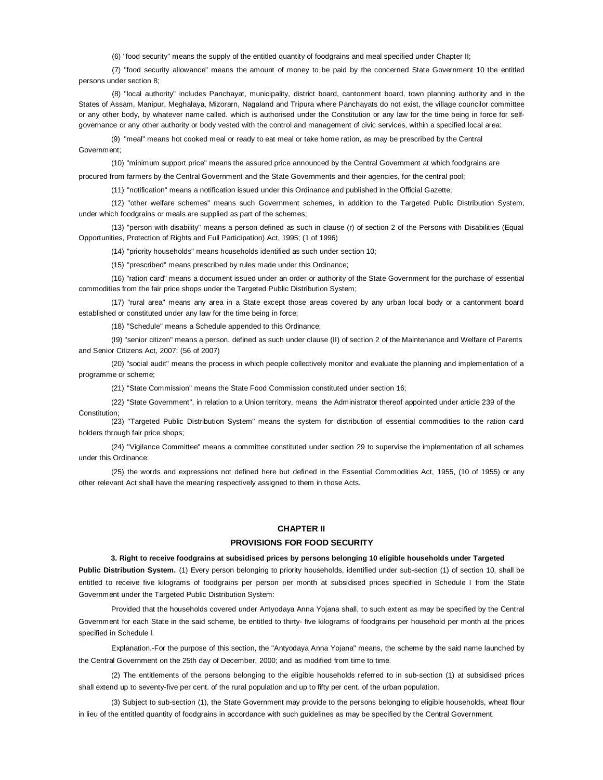(6) "food security" means the supply of the entitled quantity of foodgrains and meal specified under Chapter II;

(7) "food security allowance" means the amount of money to be paid by the concerned State Government 10 the entitled persons under section 8;

(8) "local authority" includes Panchayat, municipality, district board, cantonment board, town planning authority and in the States of Assam, Manipur, Meghalaya, Mizorarn, Nagaland and Tripura where Panchayats do not exist, the village councilor committee or any other body, by whatever name called. which is authorised under the Constitution or any law for the time being in force for selfgovernance or any other authority or body vested with the control and management of civic services, within a specified local area:

(9) "meal" means hot cooked meal or ready to eat meal or take home ration, as may be prescribed by the Central Government;

(10) "minimum support price" means the assured price announced by the Central Government at which foodgrains are

procured from farmers by the Central Government and the State Governments and their agencies, for the central pool;

(11) "notification" means a notification issued under this Ordinance and published in the Official Gazette;

(12) "other welfare schemes" means such Government schemes, in addition to the Targeted Public Distribution System, under which foodgrains or meals are supplied as part of the schemes;

(13) "person with disability" means a person defined as such in clause (r) of section 2 of the Persons with Disabilities (Equal Opportunities, Protection of Rights and Full Participation) Act, 1995; (1 of 1996)

(14) "priority households" means households identified as such under section 10;

(15) "prescribed" means prescribed by rules made under this Ordinance;

(16) "ration card" means a document issued under an order or authority of the State Government for the purchase of essential commodities from the fair price shops under the Targeted Public Distribution System;

(17) "rural area" means any area in a State except those areas covered by any urban local body or a cantonment board established or constituted under any law for the time being in force;

(18) "Schedule" means a Schedule appended to this Ordinance;

(I9) "senior citizen" means a person. defined as such under clause (II) of section 2 of the Maintenance and Welfare of Parents and Senior Citizens Act, 2007; (56 of 2007)

(20) "social audit" means the process in which people collectively monitor and evaluate the planning and implementation of a programme or scheme;

(21) "State Commission" means the State Food Commission constituted under section 16;

(22) "State Government", in relation to a Union territory, means the Administrator thereof appointed under article 239 of the Constitution;

(23) "Targeted Public Distribution System" means the system for distribution of essential commodities to the ration card holders through fair price shops;

(24) "Vigilance Committee" means a committee constituted under section 29 to supervise the implementation of all schemes under this Ordinance:

(25) the words and expressions not defined here but defined in the Essential Commodities Act, 1955, (10 of 1955) or any other relevant Act shall have the meaning respectively assigned to them in those Acts.

# **CHAPTER II**

#### **PROVISIONS FOR FOOD SECURITY**

#### **3. Right to receive foodgrains at subsidised prices by persons belonging 10 eligible households under Targeted**

**Public Distribution System.** (1) Every person belonging to priority households, identified under sub-section (1) of section 10, shall be entitled to receive five kilograms of foodgrains per person per month at subsidised prices specified in Schedule I from the State Government under the Targeted Public Distribution System:

Provided that the households covered under Antyodaya Anna Yojana shall, to such extent as may be specified by the Central Government for each State in the said scheme, be entitled to thirty- five kilograms of foodgrains per household per month at the prices specified in Schedule l.

Explanation.-For the purpose of this section, the "Antyodaya Anna Yojana" means, the scheme by the said name launched by the Central Government on the 25th day of December, 2000; and as modified from time to time.

(2) The entitlements of the persons belonging to the eligible households referred to in sub-section (1) at subsidised prices shall extend up to seventy-five per cent. of the rural population and up to fifty per cent. of the urban population.

(3) Subject to sub-section (1), the State Government may provide to the persons belonging to eligible households, wheat flour in lieu of the entitled quantity of foodgrains in accordance with such guidelines as may be specified by the Central Government.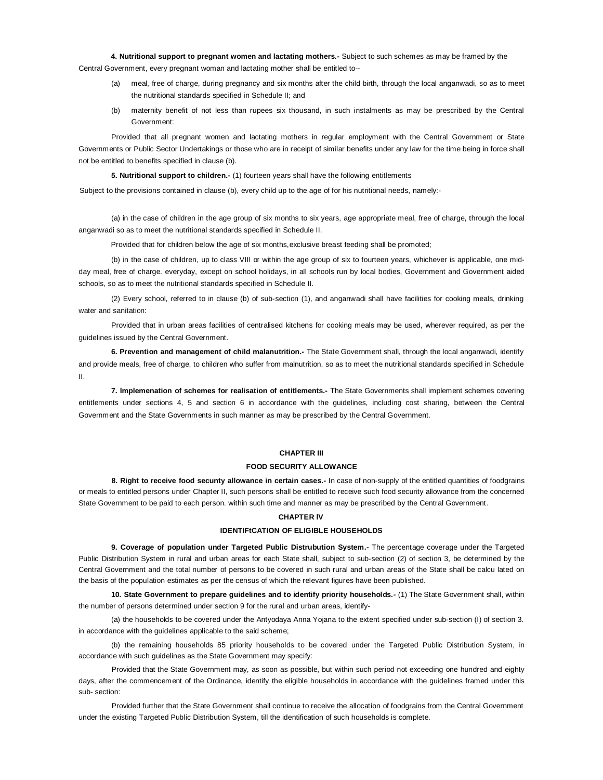**4. Nutritional support to pregnant women and lactating mothers.-** Subject to such schemes as may be framed by the Central Government, every pregnant woman and lactating mother shall be entitled to--

- (a) meal, free of charge, during pregnancy and six months after the child birth, through the local anganwadi, so as to meet the nutritional standards specified in Schedule II; and
- (b) maternity benefit of not less than rupees six thousand, in such instalments as may be prescribed by the Central Government:

Provided that all pregnant women and lactating mothers in regular employment with the Central Government or State Governments or Public Sector Undertakings or those who are in receipt of similar benefits under any law for the time being in force shall not be entitled to benefits specified in clause (b).

**5. Nutritional support to children.-** (1) fourteen years shall have the following entitlements

Subject to the provisions contained in clause (b), every child up to the age of for his nutritional needs, namely:-

(a) in the case of children in the age group of six months to six years, age appropriate meal, free of charge, through the local anganwadi so as to meet the nutritional standards specified in Schedule II.

Provided that for children below the age of six months,exclusive breast feeding shall be promoted;

(b) in the case of children, up to class VIII or within the age group of six to fourteen years, whichever is applicable, one midday meal, free of charge. everyday, except on school holidays, in all schools run by local bodies, Government and Government aided schools, so as to meet the nutritional standards specified in Schedule II.

(2) Every school, referred to in clause (b) of sub-section (1), and anganwadi shall have facilities for cooking meals, drinking water and sanitation:

Provided that in urban areas facilities of centralised kitchens for cooking meals may be used, wherever required, as per the guidelines issued by the Central Government.

**6. Prevention and management of child malanutrition.-** The State Government shall, through the local anganwadi, identify and provide meals, free of charge, to children who suffer from malnutrition, so as to meet the nutritional standards specified in Schedule II.

**7. lmplemenation of schemes for realisation of entitlements.-** The State Governments shall implement schemes covering entitlements under sections 4, 5 and section 6 in accordance with the guidelines, including cost sharing, between the Central Government and the State Governments in such manner as may be prescribed by the Central Government.

#### **CHAPTER III**

#### **FOOD SECURITY ALLOWANCE**

**8. Right to receive food secunty allowance in certain cases.-** In case of non-supply of the entitled quantities of foodgrains or meals to entitled persons under Chapter II, such persons shall be entitled to receive such food security allowance from the concerned State Government to be paid to each person. within such time and manner as may be prescribed by the Central Government.

#### **CHAPTER lV**

# **IDENTIFtCATION OF ELIGIBLE HOUSEHOLDS**

**9. Coverage of population under Targeted Public Distrubution System.-** The percentage coverage under the Targeted Public Distribution System in rural and urban areas for each State shall, subject to sub-section (2) of section 3, be determined by the Central Government and the total number of persons to be covered in such rural and urban areas of the State shall be calcu lated on the basis of the population estimates as per the census of which the relevant figures have been published.

**10. State Government to prepare guidelines and to identify priority households.-** (1) The State Government shall, within the number of persons determined under section 9 for the rural and urban areas, identify-

(a) the households to be covered under the Antyodaya Anna Yojana to the extent specified under sub-section (I) of section 3. in accordance with the guidelines applicable to the said scheme;

(b) the remaining households 85 priority households to be covered under the Targeted Public Distribution System, in accordance with such guidelines as the State Government may specify:

Provided that the State Government may, as soon as possible, but within such period not exceeding one hundred and eighty days, after the commencement of the Ordinance, identify the eligible households in accordance with the guidelines framed under this sub- section:

Provided further that the State Government shall continue to receive the allocation of foodgrains from the Central Government under the existing Targeted Public Distribution System, till the identification of such households is complete.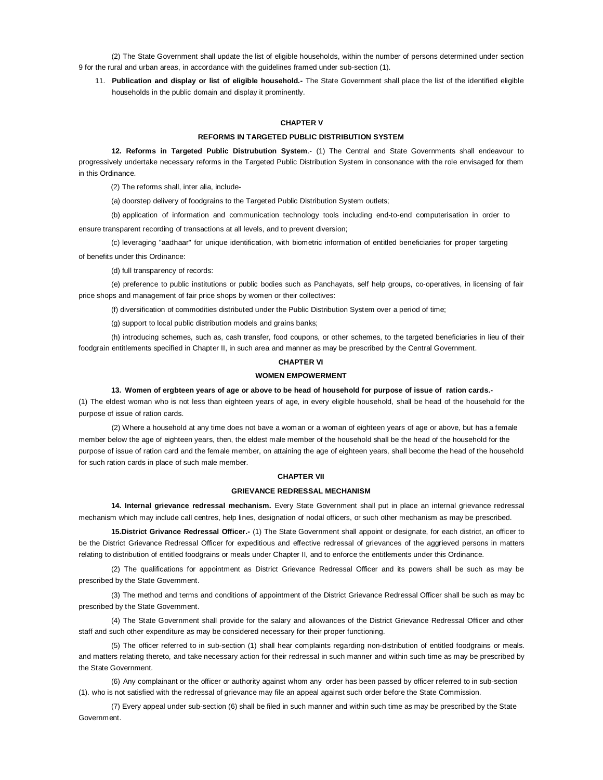(2) The State Government shall update the list of eligible households, within the number of persons determined under section 9 for the rural and urban areas, in accordance with the guidelines framed under sub-section (1).

11. **Publication and display or list of eligible household.-** The State Government shall place the list of the identified eligible households in the public domain and display it prominently.

#### **CHAPTER V**

#### **REFORMS IN TARGETED PUBLIC DlSTRIBUTION SYSTEM**

**12. Reforms in Targeted Public Distrubution System**.- (1) The Central and State Governments shall endeavour to progressively undertake necessary reforms in the Targeted Public Distribution System in consonance with the role envisaged for them in this Ordinance.

(2) The reforms shall, inter alia, include-

(a) doorstep delivery of foodgrains to the Targeted Public Distribution System outlets;

(b) application of information and communication technology tools including end-to-end computerisation in order to ensure transparent recording of transactions at all levels, and to prevent diversion;

(c) leveraging "aadhaar" for unique identification, with biometric information of entitled beneficiaries for proper targeting of benefits under this Ordinance:

(d) full transparency of records:

(e) preference to public institutions or public bodies such as Panchayats, self help groups, co-operatives, in licensing of fair price shops and management of fair price shops by women or their collectives:

(f) diversification of commodities distributed under the Public Distribution System over a period of time;

(g) support to local public distribution models and grains banks;

(h) introducing schemes, such as, cash transfer, food coupons, or other schemes, to the targeted beneficiaries in lieu of their foodgrain entitlements specified in Chapter II, in such area and manner as may be prescribed by the Central Government.

# **CHAPTER VI**

# **WOMEN EMPOWERMENT**

**13. Women of ergbteen years of age or above to be head of household for purpose of issue of ration cards.-**

(1) The eldest woman who is not less than eighteen years of age, in every eligible household, shall be head of the household for the purpose of issue of ration cards.

(2) Where a household at any time does not bave a woman or a woman of eighteen years of age or above, but has a female member below the age of eighteen years, then, the eldest male member of the household shall be the head of the household for the purpose of issue of ration card and the female member, on attaining the age of eighteen years, shall become the head of the household for such ration cards in place of such male member.

#### **CHAPTER VII**

#### **GRIEVANCE REDRESSAL MECHANISM**

**14. Internal grievance redressal mechanism.** Every State Government shall put in place an internal grievance redressal mechanism which may include call centres, help lines, designation of nodal officers, or such other mechanism as may be prescribed.

**15.District Grivance Redressal Officer.-** (1) The State Government shall appoint or designate, for each district, an officer to be the District Grievance Redressal Officer for expeditious and effective redressal of grievances of the aggrieved persons in matters relating to distribution of entitled foodgrains or meals under Chapter II, and to enforce the entitlements under this Ordinance.

(2) The qualifications for appointment as District Grievance Redressal Officer and its powers shall be such as may be prescribed by the State Government.

(3) The method and terms and conditions of appointment of the District Grievance Redressal Officer shall be such as may bc prescribed by the State Government.

(4) The State Government shall provide for the salary and allowances of the District Grievance Redressal Officer and other staff and such other expenditure as may be considered necessary for their proper functioning.

(5) The officer referred to in sub-section (1) shall hear complaints regarding non-distribution of entitled foodgrains or meals. and matters relating thereto, and take necessary action for their redressal in such manner and within such time as may be prescribed by the State Government.

(6) Any complainant or the officer or authority against whom any order has been passed by officer referred to in sub-section (1). who is not satisfied with the redressal of grievance may file an appeal against such order before the State Commission.

(7) Every appeal under sub-section (6) shall be filed in such manner and within such time as may be prescribed by the State Government.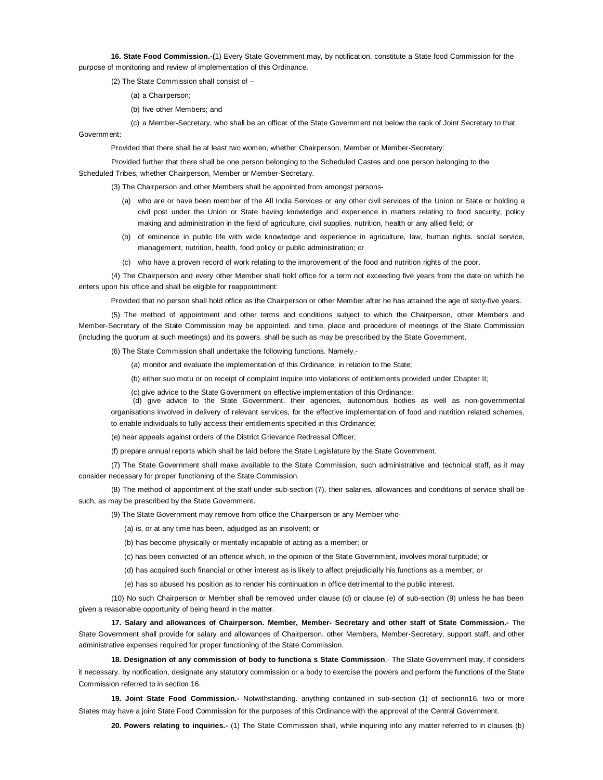**16. State Food Commission.-(**1) Every State Government may, by notification, constitute a State food Commission for the purpose of monitoring and review of implementation of this Ordinance.

(2) The State Commission shall consist of --

- (a) a Chairperson;
- (b) five other Members; and

(c) a Member-Secretary, who shall be an officer of the State Government not below the rank of Joint Secretary to that Government:

Provided that there shall be at least two women, whether Chairperson, Member or Member-Secretary:

Provided further that there shall be one person belonging to the Scheduled Castes and one person belonging to the Scheduled Tribes, whether Chairperson, Member or Member-Secretary.

(3) The Chairperson and other Members shall be appointed from amongst persons-

- (a) who are or have been member of the All India Services or any other civil services of the Union or State or holding a civil post under the Union or State having knowledge and experience in matters relating to food security, policy making and administration in the field of agriculture, civil supplies, nutrition, health or any allied field; or
- (b) of eminence in public life with wide knowledge and experience in agriculture, law, human rights. social service, management, nutrition, health, food policy or public administration; or
- (c) who have a proven record of work relating to the improvement of the food and nutrition rights of the poor.

(4) The Chairperson and every other Member shall hold office for a term not exceeding five years from the date on which he enters upon his office and shall be eligible for reappointment:

Provided that no person shall hold office as the Chairperson or other Member after he has attained the age of sixty-five years.

(5) The method of appointment and other terms and conditions subject to which the Chairperson, other Members and Member-Secretary of the State Commission may be appointed. and time, place and procedure of meetings of the State Commission (including the quorum at such meetings) and its powers. shall be such as may be prescribed by the State Government.

(6) The State Commission shall undertake the following functions. Namely.-

(a) monitor and evaluate the implementation of this Ordinance, in relation to the State;

(b) either suo motu or on receipt of complaint inquire into violations of entitlements provided under Chapter II;

(c) give advice to the State Government on effective implementation of this Ordinance;

(d) give advice to the State Government, their agencies, autonomous bodies as well as non-governmental organisations involved in delivery of relevant services, for the effective implementation of food and nutrition related schemes, to enable individuals to fully access their entitlements specified in this Ordinance;

(e) hear appeals against orders of the District Grievance Redressal Officer;

(f) prepare annual reports which shall be laid before the State Legislature by the State Government.

(7) The State Government shall make available to the State Commission, such administrative and technical staff, as it may consider necessary for proper functioning of the State Commission.

(8) The method of appointment of the staff under sub-section (7), their salaries, allowances and conditions of service shall be such, as may be prescribed by the State Government.

(9) The State Government may remove from office the Chairperson or any Member who-

(a) is, or at any time has been, adjudged as an insolvent; or

(b) has become physically or mentally incapable of acting as a member; or

(c) has been convicted of an offence which, in the opinion of the State Government, involves moral turpitude; or

(d) has acquired such financial or other interest as is likely to affect prejudicially his functions as a member; or

(e) has so abused his position as to render his continuation in office detrimental to the public interest.

(10) No such Chairperson or Member shall be removed under clause (d) or clause (e) of sub-section (9) unless he has been given a reasonable opportunity of being heard in the matter.

**17. Salary and allowances of Chairperson. Member, Member- Secretary and other staff of State Commission.-** The State Government shall provide for salary and allowances of Chairperson. other Members, Member-Secretary, support staff, and other administrative expenses required for proper functioning of the State Commission.

**18. Designation of any commission of body to functiona s State Commission**.- The State Government may, if considers it necessary. by notification, designate any statutory commission or a body to exercise the powers and perform the functions of the State Commission referred to in section 16.

**19. Joint State Food Commission.-** Notwithstanding. anything contained in sub-section (1) of sectionn16, two or more States may have a joint State Food Commission for the purposes of this Ordinance with the approval of the Central Government.

**20. Powers relating to inquiries.-** (1) The State Commission shall, while inquiring into any matter referred to in clauses (b)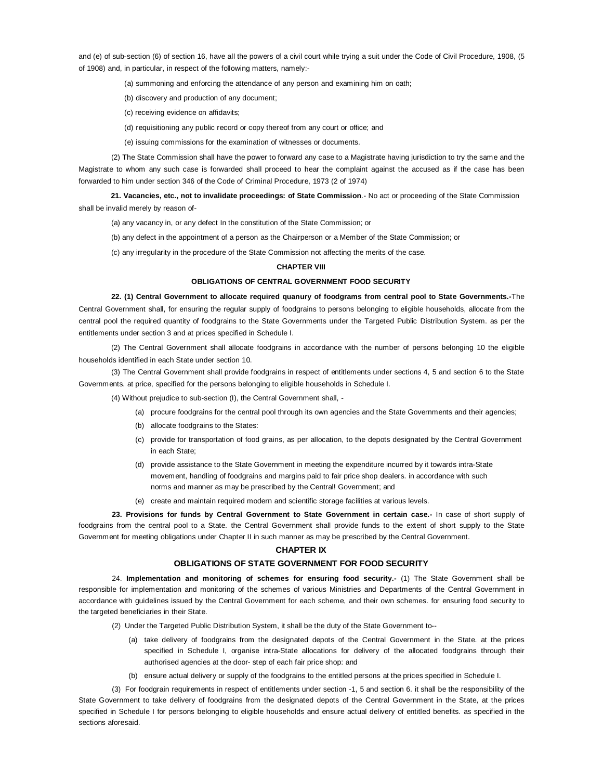and (e) of sub-section (6) of section 16, have all the powers of a civil court while trying a suit under the Code of Civil Procedure, 1908, (5 of 1908) and, in particular, in respect of the following matters, namely:-

- (a) summoning and enforcing the attendance of any person and examining him on oath;
- (b) discovery and production of any document;
- (c) receiving evidence on affidavits;
- (d) requisitioning any public record or copy thereof from any court or office; and
- (e) issuing commissions for the examination of witnesses or documents.

(2) The State Commission shall have the power to forward any case to a Magistrate having jurisdiction to try the same and the Magistrate to whom any such case is forwarded shall proceed to hear the complaint against the accused as if the case has been forwarded to him under section 346 of the Code of Criminal Procedure, 1973 (2 of 1974)

**21. Vacancies, etc., not to invalidate proceedings: of State Commission**.- No act or proceeding of the State Commission shall be invalid merely by reason of-

(a) any vacancy in, or any defect In the constitution of the State Commission; or

(b) any defect in the appointment of a person as the Chairperson or a Member of the State Commission; or

(c) any irregularity in the procedure of the State Commission not affecting the merits of the case.

# **CHAPTER VIII**

# **OBLIGATIONS OF CENTRAL GOVERNMENT FOOD SECURITY**

**22. (1) Central Government to allocate required quanury of foodgrams from central pool to State Governments.-**The Central Government shall, for ensuring the regular supply of foodgrains to persons belonging to eligible households, allocate from the central pool the required quantity of foodgrains to the State Governments under the Targeted Public Distribution System. as per the entitlements under section 3 and at prices specified in Schedule I.

(2) The Central Government shall allocate foodgrains in accordance with the number of persons belonging 10 the eligible households identified in each State under section 10.

(3) The Central Government shall provide foodgrains in respect of entitlements under sections 4, 5 and section 6 to the State Governments. at price, specified for the persons belonging to eligible households in Schedule I.

(4) Without prejudice to sub-section (I), the Central Government shall, -

- (a) procure foodgrains for the central pool through its own agencies and the State Governments and their agencies;
- (b) allocate foodgrains to the States:
- (c) provide for transportation of food grains, as per allocation, to the depots designated by the Central Government in each State;
- (d) provide assistance to the State Government in meeting the expenditure incurred by it towards intra-State movement, handling of foodgrains and margins paid to fair price shop dealers. in accordance with such norms and manner as may be prescribed by the Central! Government; and
- (e) create and maintain required modern and scientific storage facilities at various levels.

**23. Provisions for funds by Central Government to State Government in certain case.-** In case of short supply of foodgrains from the central pool to a State. the Central Government shall provide funds to the extent of short supply to the State Government for meeting obligations under Chapter II in such manner as may be prescribed by the Central Government.

#### **CHAPTER IX**

#### **OBLIGATIONS OF STATE GOVERNMENT FOR FOOD SECURITY**

24. **Implementation and monitoring of schemes for ensuring food security.-** (1) The State Government shall be responsible for implementation and monitoring of the schemes of various Ministries and Departments of the Central Government in accordance with guidelines issued by the Central Government for each scheme, and their own schemes. for ensuring food security to the targeted beneficiaries in their State.

- (2) Under the Targeted Public Distribution System, it shall be the duty of the State Government to--
	- (a) take delivery of foodgrains from the designated depots of the Central Government in the State. at the prices specified in Schedule I, organise intra-State allocations for delivery of the allocated foodgrains through their authorised agencies at the door- step of each fair price shop: and
	- (b) ensure actual delivery or supply of the foodgrains to the entitled persons at the prices specified in Schedule I.

(3) For foodgrain requirements in respect of entitlements under section -1, 5 and section 6. it shall be the responsibility of the State Government to take delivery of foodgrains from the designated depots of the Central Government in the State, at the prices specified in Schedule I for persons belonging to eligible households and ensure actual delivery of entitled benefits. as specified in the sections aforesaid.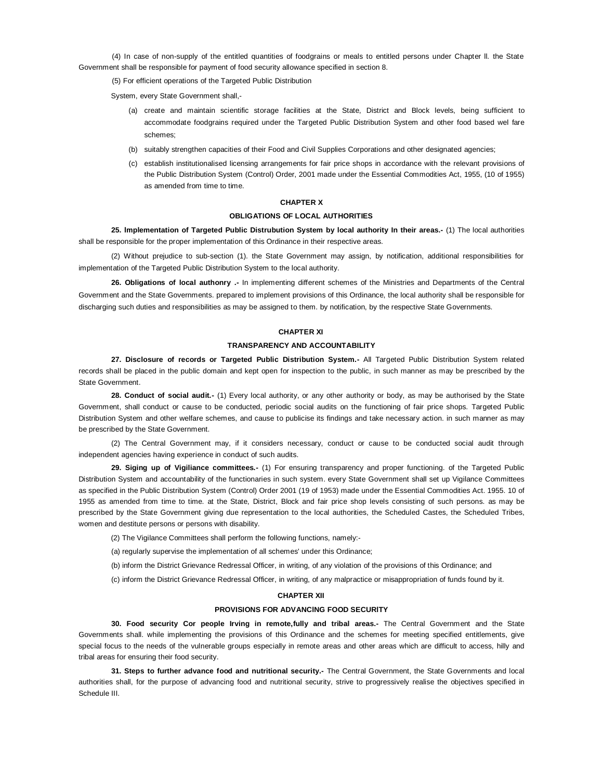(4) In case of non-supply of the entitled quantities of foodgrains or meals to entitled persons under Chapter ll. the State Government shall be responsible for payment of food security allowance specified in section 8.

(5) For efficient operations of the Targeted Public Distribution

System, every State Government shall,-

- (a) create and maintain scientific storage facilities at the State, District and Block levels, being sufficient to accommodate foodgrains required under the Targeted Public Distribution System and other food based wel fare schemes;
- (b) suitably strengthen capacities of their Food and Civil Supplies Corporations and other designated agencies;
- (c) establish institutionalised licensing arrangements for fair price shops in accordance with the relevant provisions of the Public Distribution System (Control) Order, 2001 made under the Essential Commodities Act, 1955, (10 of 1955) as amended from time to time.

# **CHAPTER X**

# **OBLIGATIONS OF LOCAL AUTHORITIES**

**25. lmplementation of Targeted Public Distrubution System by local authority In their areas.-** (1) The local authorities shall be responsible for the proper implementation of this Ordinance in their respective areas.

(2) Without prejudice to sub-section (1). the State Government may assign, by notification, additional responsibilities for implementation of the Targeted Public Distribution System to the local authority.

**26. Obligations of local authonry .-** In implementing different schemes of the Ministries and Departments of the Central Government and the State Governments. prepared to implement provisions of this Ordinance, the local authority shall be responsible for discharging such duties and responsibilities as may be assigned to them. by notification, by the respective State Governments.

### **CHAPTER XI**

# **TRANSPARENCY AND ACCOUNTABILITY**

**27. Disclosure of records or Targeted Public Distribution System.-** All Targeted Public Distribution System related records shall be placed in the public domain and kept open for inspection to the public, in such manner as may be prescribed by the State Government.

**28. Conduct of social audit.-** (1) Every local authority, or any other authority or body, as may be authorised by the State Government, shall conduct or cause to be conducted, periodic social audits on the functioning of fair price shops. Targeted Public Distribution System and other welfare schemes, and cause to publicise its findings and take necessary action. in such manner as may be prescribed by the State Government.

(2) The Central Government may, if it considers necessary, conduct or cause to be conducted social audit through independent agencies having experience in conduct of such audits.

**29. Siging up of Vigiliance committees.-** (1) For ensuring transparency and proper functioning. of the Targeted Public Distribution System and accountability of the functionaries in such system. every State Government shall set up Vigilance Committees as specified in the Public Distribution System (Control) Order 2001 (19 of 1953) made under the Essential Commodities Act. 1955. 10 of 1955 as amended from time to time. at the State, District, Block and fair price shop levels consisting of such persons. as may be prescribed by the State Government giving due representation to the local authorities, the Scheduled Castes, the Scheduled Tribes, women and destitute persons or persons with disability.

(2) The Vigilance Committees shall perform the following functions, namely:-

(a) regularly supervise the implementation of all schemes' under this Ordinance;

(b) inform the District Grievance Redressal Officer, in writing, of any violation of the provisions of this Ordinance; and

(c) inform the District Grievance Redressal Officer, in writing, of any malpractice or misappropriation of funds found by it.

#### **CHAPTER XII**

#### **PROVISIONS FOR ADVANClNG FOOD SECURlTY**

**30. Food security Cor people Irving in remote,fully and tribal areas.-** The Central Government and the State Governments shall. while implementing the provisions of this Ordinance and the schemes for meeting specified entitlements, give special focus to the needs of the vulnerable groups especially in remote areas and other areas which are difficult to access, hilly and tribal areas for ensuring their food security.

**31. Steps to further advance food and nutritional security.-** The Central Government, the State Governments and local authorities shall, for the purpose of advancing food and nutritional security, strive to progressively realise the objectives specified in Schedule III.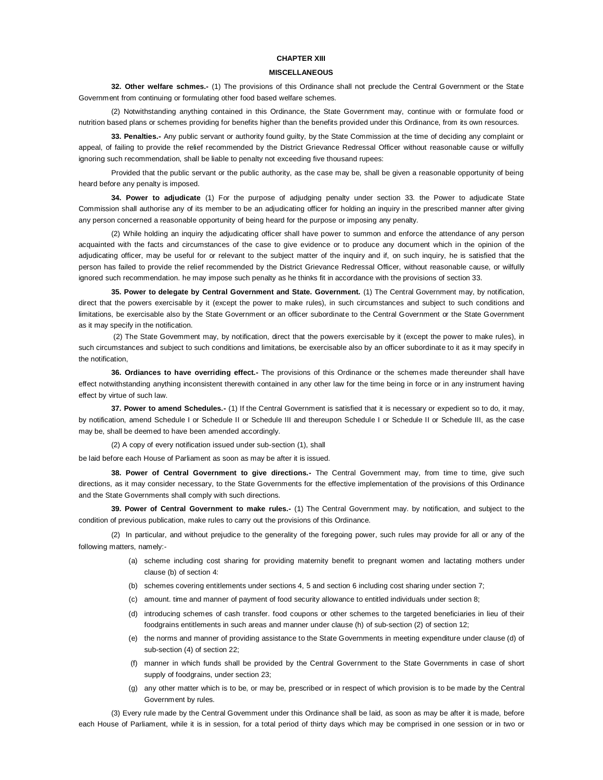#### **CHAPTER XIII**

### **MISCELLANEOUS**

**32. Other welfare schmes.-** (1) The provisions of this Ordinance shall not preclude the Central Government or the State Government from continuing or formulating other food based welfare schemes.

(2) Notwithstanding anything contained in this Ordinance, the State Government may, continue with or formulate food or nutrition based plans or schemes providing for benefits higher than the benefits provided under this Ordinance, from its own resources.

**33. Penalties.-** Any public servant or authority found guilty, by the State Commission at the time of deciding any complaint or appeal, of failing to provide the relief recommended by the District Grievance Redressal Officer without reasonable cause or wilfully ignoring such recommendation, shall be liable to penalty not exceeding five thousand rupees:

Provided that the public servant or the public authority, as the case may be, shall be given a reasonable opportunity of being heard before any penalty is imposed.

**34. Power to adjudicate** (1) For the purpose of adjudging penalty under section 33. the Power to adjudicate State Commission shall authorise any of its member to be an adjudicating officer for holding an inquiry in the prescribed manner after giving any person concerned a reasonable opportunity of being heard for the purpose or imposing any penalty.

(2) While holding an inquiry the adjudicating officer shall have power to summon and enforce the attendance of any person acquainted with the facts and circumstances of the case to give evidence or to produce any document which in the opinion of the adjudicating officer, may be useful for or relevant to the subject matter of the inquiry and if, on such inquiry, he is satisfied that the person has failed to provide the relief recommended by the District Grievance Redressal Officer, without reasonable cause, or wilfully ignored such recommendation. he may impose such penalty as he thinks fit in accordance with the provisions of section 33.

**35. Power to delegate by Central Government and State. Government.** (1) The Central Government may, by notification, direct that the powers exercisable by it (except the power to make rules), in such circumstances and subject to such conditions and limitations, be exercisable also by the State Government or an officer subordinate to the Central Government or the State Government as it may specify in the notification.

(2) The State Govemment may, by notification, direct that the powers exercisable by it (except the power to make rules), in such circumstances and subject to such conditions and limitations, be exercisable also by an officer subordinate to it as it may specify in the notification,

**36. Ordiances to have overriding effect.-** The provisions of this Ordinance or the schemes made thereunder shall have effect notwithstanding anything inconsistent therewith contained in any other law for the time being in force or in any instrument having effect by virtue of such law.

**37. Power to amend Schedules.-** (1) If the Central Government is satisfied that it is necessary or expedient so to do, it may, by notification, amend Schedule I or Schedule II or Schedule III and thereupon Schedule I or Schedule II or Schedule III, as the case may be, shall be deemed to have been amended accordingly.

(2) A copy of every notification issued under sub-section (1), shall

be laid before each House of Parliament as soon as may be after it is issued.

**38. Power of Central Government to give directions.-** The Central Government may, from time to time, give such directions, as it may consider necessary, to the State Governments for the effective implementation of the provisions of this Ordinance and the State Governments shall comply with such directions.

**39. Power of Central Government to make rules.-** (1) The Central Government may. by notification, and subject to the condition of previous publication, make rules to carry out the provisions of this Ordinance.

(2) In particular, and without prejudice to the generality of the foregoing power, such rules may provide for all or any of the following matters, namely:-

- (a) scheme including cost sharing for providing maternity benefit to pregnant women and lactating mothers under clause (b) of section 4:
- (b) schemes covering entitlements under sections 4, 5 and section 6 including cost sharing under section 7;
- (c) amount. time and manner of payment of food security allowance to entitled individuals under section 8;
- (d) introducing schemes of cash transfer. food coupons or other schemes to the targeted beneficiaries in lieu of their foodgrains entitlements in such areas and manner under clause (h) of sub-section (2) of section 12;
- (e) the norms and manner of providing assistance to the State Governments in meeting expenditure under clause (d) of sub-section (4) of section 22;
- (f) manner in which funds shall be provided by the Central Government to the State Governments in case of short supply of foodgrains, under section 23;
- (g) any other matter which is to be, or may be, prescribed or in respect of which provision is to be made by the Central Government by rules.

(3) Every rule made by the Central Govemment under this Ordinance shall be laid, as soon as may be after it is made, before each House of Parliament, while it is in session, for a total period of thirty days which may be comprised in one session or in two or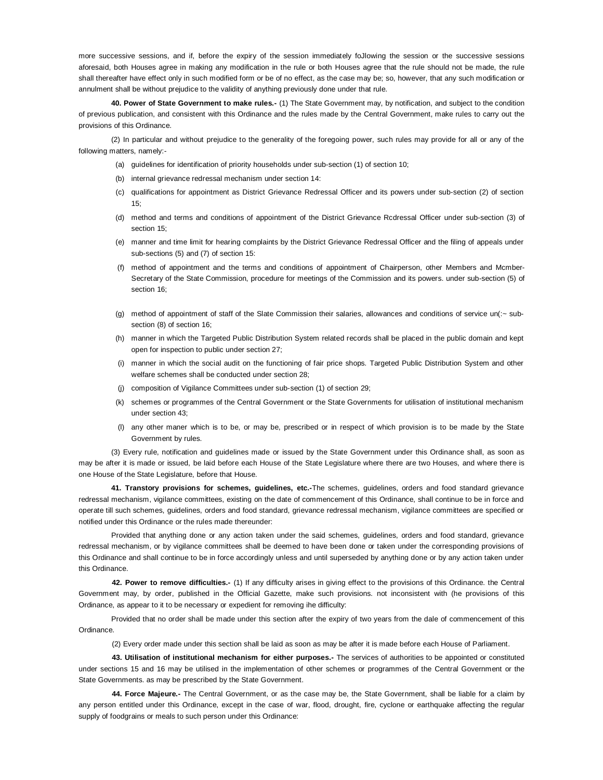more successive sessions, and if, before the expiry of the session immediately foJlowing the session or the successive sessions aforesaid, both Houses agree in making any modification in the rule or both Houses agree that the rule should not be made, the rule shall thereafter have effect only in such modified form or be of no effect, as the case may be; so, however, that any such modification or annulment shall be without prejudice to the validity of anything previously done under that rule.

**40. Power of State Government to make rules.-** (1) The State Government may, by notification, and subject to the condition of previous publication, and consistent with this Ordinance and the rules made by the Central Government, make rules to carry out the provisions of this Ordinance.

(2) In particular and without prejudice to the generality of the foregoing power, such rules may provide for all or any of the following matters, namely:-

- (a) guidelines for identification of priority households under sub-section (1) of section 10;
- (b) internal grievance redressal mechanism under section 14:
- (c) qualifications for appointment as District Grievance Redressal Officer and its powers under sub-section (2) of section  $15<sup>5</sup>$
- (d) method and terms and conditions of appointment of the District Grievance Rcdressal Officer under sub-section (3) of section 15;
- (e) manner and time limit for hearing complaints by the District Grievance Redressal Officer and the filing of appeals under sub-sections (5) and (7) of section 15:
- (f) method of appointment and the terms and conditions of appointment of Chairperson, other Members and Mcmber-Secretary of the State Commission, procedure for meetings of the Commission and its powers. under sub-section (5) of section 16;
- (g) method of appointment of staff of the Slate Commission their salaries, allowances and conditions of service un(:~ subsection (8) of section 16;
- (h) manner in which the Targeted Public Distribution System related records shall be placed in the public domain and kept open for inspection to public under section 27;
- (i) manner in which the social audit on the functioning of fair price shops. Targeted Public Distribution System and other welfare schemes shall be conducted under section 28;
- (j) composition of Vigilance Committees under sub-section (1) of section 29;
- (k) schemes or programmes of the Central Government or the State Governments for utilisation of institutional mechanism under section 43;
- (l) any other maner which is to be, or may be, prescribed or in respect of which provision is to be made by the State Government by rules.

(3) Every rule, notification and guidelines made or issued by the State Government under this Ordinance shall, as soon as may be after it is made or issued, be laid before each House of the State Legislature where there are two Houses, and where there is one House of the State Legislature, before that House.

**41. Transtory provisions for schemes, guidelines, etc.-**The schemes, guidelines, orders and food standard grievance redressal mechanism, vigilance committees, existing on the date of commencement of this Ordinance, shall continue to be in force and operate till such schemes, guidelines, orders and food standard, grievance redressal mechanism, vigilance committees are specified or notified under this Ordinance or the rules made thereunder:

Provided that anything done or any action taken under the said schemes, guidelines, orders and food standard, grievance redressal mechanism, or by vigilance committees shall be deemed to have been done or taken under the corresponding provisions of this Ordinance and shall continue to be in force accordingly unless and until superseded by anything done or by any action taken under this Ordinance.

**42. Power to remove difficulties.-** (1) If any difficulty arises in giving effect to the provisions of this Ordinance. the Central Government may, by order, published in the Official Gazette, make such provisions. not inconsistent with (he provisions of this Ordinance, as appear to it to be necessary or expedient for removing ihe difficulty:

Provided that no order shall be made under this section after the expiry of two years from the dale of commencement of this Ordinance.

(2) Every order made under this section shall be laid as soon as may be after it is made before each House of Parliament.

**43. Utilisation of institutional mechanism for either purposes.-** The services of authorities to be appointed or constituted under sections 15 and 16 may be utilised in the implementation of other schemes or programmes of the Central Government or the State Governments. as may be prescribed by the State Government.

**44. Force Majeure.-** The Central Government, or as the case may be, the State Government, shall be liable for a claim by any person entitled under this Ordinance, except in the case of war, flood, drought, fire, cyclone or earthquake affecting the regular supply of foodgrains or meals to such person under this Ordinance: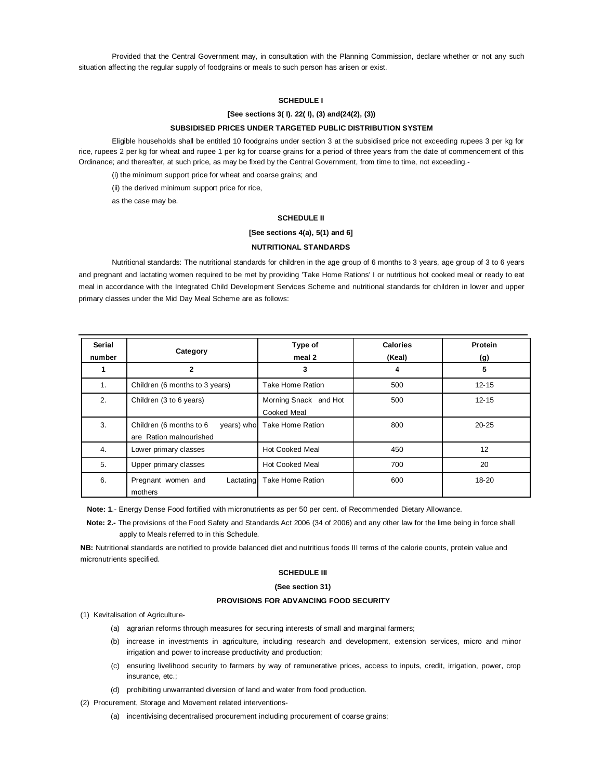Provided that the Central Government may, in consultation with the Planning Commission, declare whether or not any such situation affecting the regular supply of foodgrains or meals to such person has arisen or exist.

# **SCHEDULE I**

# **[See sections 3( I). 22( I), (3) and(24(2), (3))**

#### **SUBSIDISED PRICES UNDER TARGETED PUBLIC DISTRIBUTION SYSTEM**

Eligible households shall be entitled 10 foodgrains under section 3 at the subsidised price not exceeding rupees 3 per kg for rice, rupees 2 per kg for wheat and rupee 1 per kg for coarse grains for a period of three years from the date of commencement of this Ordinance; and thereafter, at such price, as may be fixed by the Central Government, from time to time, not exceeding.-

(i) the minimum support price for wheat and coarse grains; and

(ii) the derived minimum support price for rice,

as the case may be.

### **SCHEDULE II**

### **[See sections 4(a), 5(1) and 6]**

# **NUTRITIONAL STANDARDS**

Nutritional standards: The nutritional standards for children in the age group of 6 months to 3 years, age group of 3 to 6 years and pregnant and lactating women required to be met by providing 'Take Home Rations' I or nutritious hot cooked meal or ready to eat meal in accordance with the Integrated Child Development Services Scheme and nutritional standards for children in lower and upper primary classes under the Mid Day Meal Scheme are as follows:

| Serial<br>number | Category                                                         | Type of<br>meal 2                    | <b>Calories</b><br>(Keal) | Protein<br>(g) |
|------------------|------------------------------------------------------------------|--------------------------------------|---------------------------|----------------|
|                  | $\overline{2}$                                                   | 3                                    | 4                         | 5              |
| 1.               | Children (6 months to 3 years)                                   | Take Home Ration                     | 500                       | $12 - 15$      |
| 2.               | Children (3 to 6 years)                                          | Morning Snack and Hot<br>Cooked Meal | 500                       | $12 - 15$      |
| 3.               | Children (6 months to 6<br>years) who<br>are Ration malnourished | Take Home Ration                     | 800                       | $20 - 25$      |
| 4.               | Lower primary classes                                            | <b>Hot Cooked Meal</b>               | 450                       | 12             |
| 5.               | Upper primary classes                                            | <b>Hot Cooked Meal</b>               | 700                       | 20             |
| 6.               | Pregnant women and<br>Lactating<br>mothers                       | Take Home Ration                     | 600                       | $18 - 20$      |

**Note: 1**.- Energy Dense Food fortified with micronutrients as per 50 per cent. of Recommended Dietary Allowance.

**Note: 2.-** The provisions of the Food Safety and Standards Act 2006 (34 of 2006) and any other law for the lime being in force shall apply to Meals referred to in this Schedule.

**NB:** Nutritional standards are notified to provide balanced diet and nutritious foods III terms of the calorie counts, protein value and micronutrients specified.

## **SCHEDULE III**

#### **(See section 31)**

# **PROVISIONS FOR ADVANClNG FOOD SECURITY**

(1) Kevitalisation of Agriculture-

- (a) agrarian reforms through measures for securing interests of small and marginal farmers;
- (b) increase in investments in agriculture, including research and development, extension services, micro and minor irrigation and power to increase productivity and production;
- (c) ensuring livelihood security to farmers by way of remunerative prices, access to inputs, credit, irrigation, power, crop insurance, etc.;
- (d) prohibiting unwarranted diversion of land and water from food production.
- (2) Procurement, Storage and Movement related interventions-
	- (a) incentivising decentralised procurement including procurement of coarse grains;